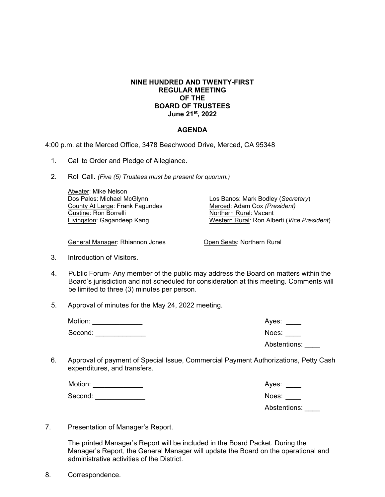## **NINE HUNDRED AND TWENTY-FIRST REGULAR MEETING OF THE BOARD OF TRUSTEES June 21st, 2022**

## **AGENDA**

4:00 p.m. at the Merced Office, 3478 Beachwood Drive, Merced, CA 95348

- 1. Call to Order and Pledge of Allegiance.
- 2. Roll Call. *(Five (5) Trustees must be present for quorum.)*

 Atwater: Mike Nelson Dos Palos: Michael McGlynn County At Large: Frank Fagundes Gustine: Ron Borrelli Livingston: Gagandeep Kang

Los Banos: Mark Bodley (*Secretary*) Merced: Adam Cox *(President)* Northern Rural: Vacant Western Rural: Ron Alberti (*Vice President*)

General Manager: Rhiannon Jones

Open Seats: Northern Rural

- 3. Introduction of Visitors.
- 4. Public Forum- Any member of the public may address the Board on matters within the Board's jurisdiction and not scheduled for consideration at this meeting. Comments will be limited to three (3) minutes per person.
- 5. Approval of minutes for the May 24, 2022 meeting.

| Motion: | Aves:        |
|---------|--------------|
| Second: | Noes:        |
|         | Abstentions: |

6. Approval of payment of Special Issue, Commercial Payment Authorizations, Petty Cash expenditures, and transfers.

| Motion: | Ayes:        |
|---------|--------------|
| Second: | Noes:        |
|         | Abstentions: |

7. Presentation of Manager's Report.

 The printed Manager's Report will be included in the Board Packet. During the Manager's Report, the General Manager will update the Board on the operational and administrative activities of the District.

8. Correspondence.